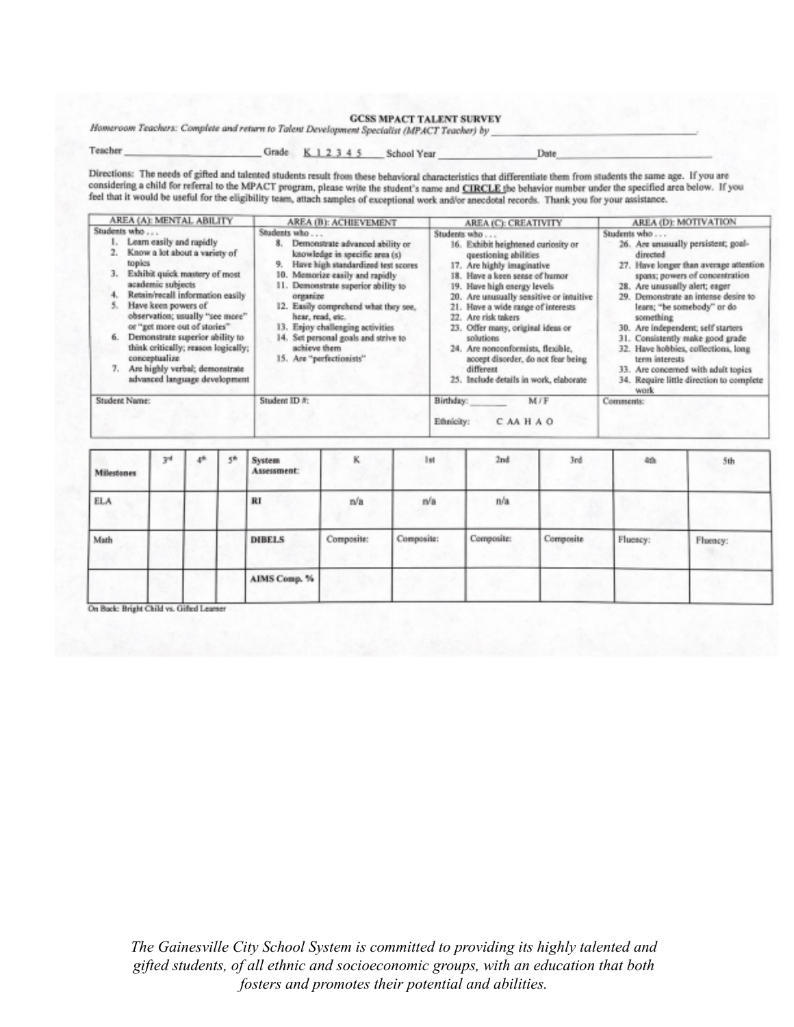## **GCSS MPACT TALENT SURVEY**

Homeroom Teachers: Complete and return to Talent Development Specialist (MPACT Teacher) by

Teacher

Grade K 1 2 3 4 5 School Year

Date

Directions: The needs of gifted and talented students result from these behavioral characteristics that differentiate them from students the same age. If you are considering a child for referral to the MPACT program, please write the student's name and CIRCLE the behavior number under the specified area below. If you feel that it would be useful for the eligibility team, attach sam

| AREA (A): MENTAL ABILITY                                                                                                                                                                                                                                                                                                                                                                                                                    | AREA (B): ACHIEVEMENT                                                                                                                                                                                                                                                                                                                                                                                      | AREA (C): CREATIVITY                                                                                                                                                                                                                                                                                                                                                                                                                                                | AREA (D): MOTIVATION                                                                                                                                                                                                                                                                                                                                                                                                                                                                              |  |
|---------------------------------------------------------------------------------------------------------------------------------------------------------------------------------------------------------------------------------------------------------------------------------------------------------------------------------------------------------------------------------------------------------------------------------------------|------------------------------------------------------------------------------------------------------------------------------------------------------------------------------------------------------------------------------------------------------------------------------------------------------------------------------------------------------------------------------------------------------------|---------------------------------------------------------------------------------------------------------------------------------------------------------------------------------------------------------------------------------------------------------------------------------------------------------------------------------------------------------------------------------------------------------------------------------------------------------------------|---------------------------------------------------------------------------------------------------------------------------------------------------------------------------------------------------------------------------------------------------------------------------------------------------------------------------------------------------------------------------------------------------------------------------------------------------------------------------------------------------|--|
| Students who<br>Learn easily and rapidly<br>Know a lot about a variety of<br>topics<br>Exhibit quick mastery of most<br>3.<br>academic subjects<br>Retain/recall information easily<br>Have keen powers of<br>observation; usually "see more"<br>or "get more out of stories"<br>Demonstrate superior ability to<br>think critically; reason logically;<br>conceptualize<br>Are highly verbal; demonstrate<br>advanced language development | Students who<br>Demonstrate advanced ability or<br>х.<br>knowledge in specific area (s)<br>Have high standardized test scores<br>Memorize easily and rapidly<br>10.<br>11. Demonstrate superior ability to<br>organize<br>12. Easily comprehend what they see,<br>hear, read, etc.<br>13. Enjoy challenging activities<br>14. Set personal goals and strive to<br>achieve them<br>15. Are "perfectionists" | Students who<br>16. Exhibit heightened curiosity or<br>questioning abilities<br>Are highly imaginative<br>Have a keen sense of humor<br>19. Have high energy levels<br>20. Are unusually sensitive or intuitive<br>21. Have a wide range of interests<br>Are risk takers<br>22.<br>23. Offer many, original ideas or<br>solutions<br>24. Are nonconformists, flexible,<br>accept disorder, do not fear being<br>different<br>25. Include details in work, elaborate | Students who<br>26. Are unusually persistent; goal-<br>directed<br>27. Have longer than average attention<br>spans; powers of concentration<br>28. Are unusually alert; eager<br>Demonstrate an intense desire to<br>29.<br>learn; "be somebody" or do<br>something<br>30. Are independent; self starters<br>31. Consistently make good grade<br>32. Have hobbies, collections, long<br>term interests<br>33. Are concerned with adult topics<br>34. Require little direction to complete<br>work |  |
| Student Name:                                                                                                                                                                                                                                                                                                                                                                                                                               | Student ID #:                                                                                                                                                                                                                                                                                                                                                                                              | Birthday:<br>M/F<br>Ethnicity:<br>CAAHAO                                                                                                                                                                                                                                                                                                                                                                                                                            | <b>Comments:</b>                                                                                                                                                                                                                                                                                                                                                                                                                                                                                  |  |

| <b>Milestones</b> | 3 <sup>rd</sup> | 4 <sup>th</sup> | 天照 | System<br>Assessment: | ĸ          | Ist        | 2nd        | 3rd       | 4th      | 5th      |
|-------------------|-----------------|-----------------|----|-----------------------|------------|------------|------------|-----------|----------|----------|
| <b>ELA</b>        |                 |                 |    | RI                    | n/a        | n/a        | n/a        |           |          |          |
| Math              |                 |                 |    | <b>DIBELS</b>         | Composite: | Composite: | Composite: | Composite | Fluency: | Fluency: |
|                   |                 |                 |    | AIMS Comp. %          |            |            |            |           |          |          |

On Back: Bright Child vs. Gifted Learner

The Gainesville City School System is committed to providing its highly talented and gifted students, of all ethnic and socioeconomic groups, with an education that both fosters and promotes their potential and abilities.